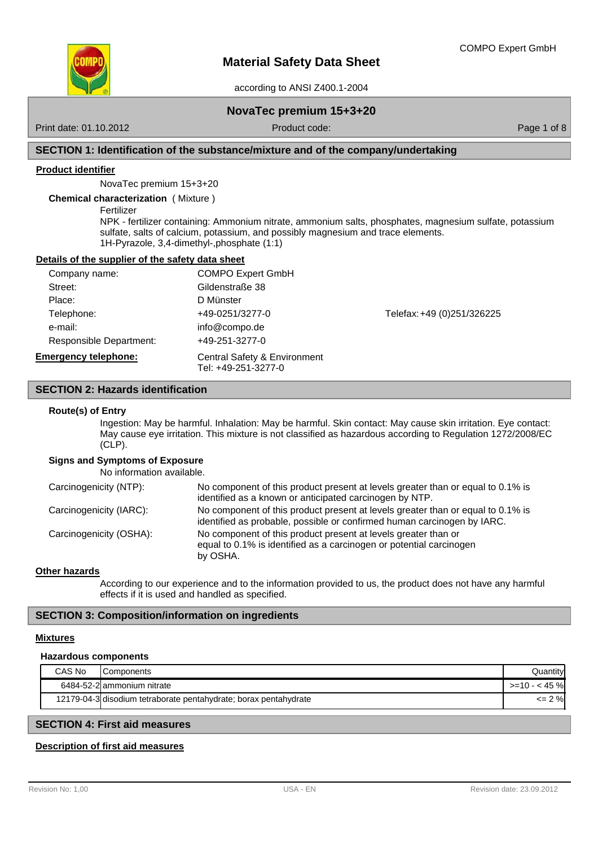

according to ANSI Z400.1-2004

## **NovaTec premium 15+3+20**

Print date: 01.10.2012 **Product code:** Product code: Product code: Page 1 of 8

## **SECTION 1: Identification of the substance/mixture and of the company/undertaking**

### **Product identifier**

NovaTec premium 15+3+20

**Chemical characterization** ( Mixture )

Fertilizer

NPK - fertilizer containing: Ammonium nitrate, ammonium salts, phosphates, magnesium sulfate, potassium sulfate, salts of calcium, potassium, and possibly magnesium and trace elements. 1H-Pyrazole, 3,4-dimethyl-,phosphate (1:1)

#### **Details of the supplier of the safety data sheet**

| Company name:                  | <b>COMPO Expert GmbH</b>                            |                            |
|--------------------------------|-----------------------------------------------------|----------------------------|
| Street:                        | Gildenstraße 38                                     |                            |
| Place:                         | D Münster                                           |                            |
| Telephone:                     | +49-0251/3277-0                                     | Telefax: +49 (0)251/326225 |
| e-mail:                        | info@compo.de                                       |                            |
| <b>Responsible Department:</b> | +49-251-3277-0                                      |                            |
| <b>Emergency telephone:</b>    | Central Safety & Environment<br>Tel: +49-251-3277-0 |                            |

## **SECTION 2: Hazards identification**

#### **Route(s) of Entry**

Ingestion: May be harmful. Inhalation: May be harmful. Skin contact: May cause skin irritation. Eye contact: May cause eye irritation. This mixture is not classified as hazardous according to Regulation 1272/2008/EC  $(CLP)$ .

## **Signs and Symptoms of Exposure**

No information available.

| Carcinogenicity (NTP):  | No component of this product present at levels greater than or equal to 0.1% is<br>identified as a known or anticipated carcinogen by NTP.                 |
|-------------------------|------------------------------------------------------------------------------------------------------------------------------------------------------------|
| Carcinogenicity (IARC): | No component of this product present at levels greater than or equal to 0.1% is<br>identified as probable, possible or confirmed human carcinogen by IARC. |
| Carcinogenicity (OSHA): | No component of this product present at levels greater than or<br>equal to 0.1% is identified as a carcinogen or potential carcinogen<br>by OSHA.          |

### **Other hazards**

According to our experience and to the information provided to us, the product does not have any harmful effects if it is used and handled as specified.

## **SECTION 3: Composition/information on ingredients**

### **Mixtures**

### **Hazardous components**

| CAS No | Components                                                       | Quantity'    |
|--------|------------------------------------------------------------------|--------------|
|        | 6484-52-2 ammonium nitrate                                       | $>10 - 45$ % |
|        | 12179-04-3 disodium tetraborate pentahydrate; borax pentahydrate | $\leq$ 2 %   |

## **SECTION 4: First aid measures**

## **Description of first aid measures**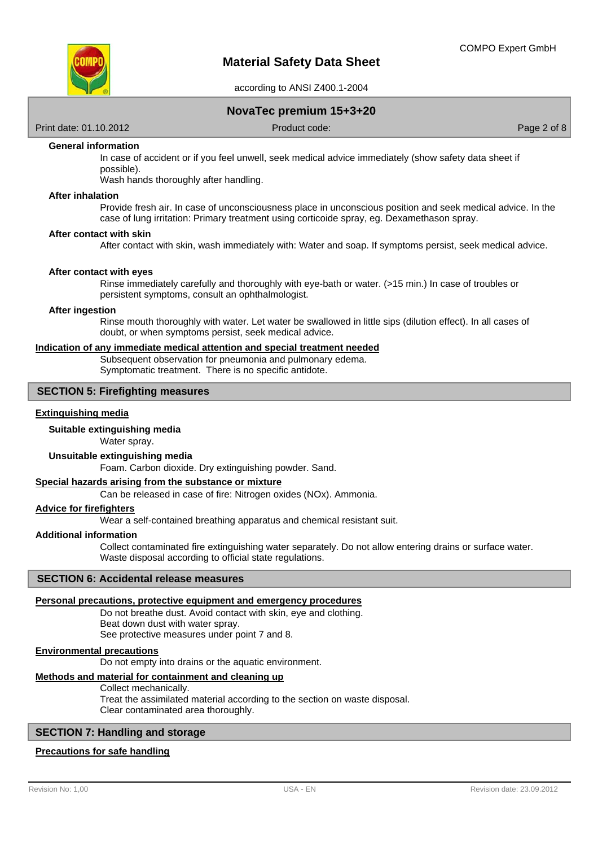

## **NovaTec premium 15+3+20**

Print date: 01.10.2012 **Product code:** Product code: Product code: Page 2 of 8

### **General information**

In case of accident or if you feel unwell, seek medical advice immediately (show safety data sheet if possible).

Wash hands thoroughly after handling.

### **After inhalation**

Provide fresh air. In case of unconsciousness place in unconscious position and seek medical advice. In the case of lung irritation: Primary treatment using corticoide spray, eg. Dexamethason spray.

#### **After contact with skin**

After contact with skin, wash immediately with: Water and soap. If symptoms persist, seek medical advice.

#### **After contact with eyes**

Rinse immediately carefully and thoroughly with eye-bath or water. (>15 min.) In case of troubles or persistent symptoms, consult an ophthalmologist.

### **After ingestion**

Rinse mouth thoroughly with water. Let water be swallowed in little sips (dilution effect). In all cases of doubt, or when symptoms persist, seek medical advice.

### **Indication of any immediate medical attention and special treatment needed**

Subsequent observation for pneumonia and pulmonary edema. Symptomatic treatment. There is no specific antidote.

## **SECTION 5: Firefighting measures**

### **Extinguishing media**

## **Suitable extinguishing media**

Water spray.

### **Unsuitable extinguishing media**

Foam. Carbon dioxide. Dry extinguishing powder. Sand.

### **Special hazards arising from the substance or mixture**

Can be released in case of fire: Nitrogen oxides (NOx). Ammonia.

#### **Advice for firefighters**

Wear a self-contained breathing apparatus and chemical resistant suit.

### **Additional information**

Collect contaminated fire extinguishing water separately. Do not allow entering drains or surface water. Waste disposal according to official state regulations.

### **SECTION 6: Accidental release measures**

### **Personal precautions, protective equipment and emergency procedures**

Do not breathe dust. Avoid contact with skin, eye and clothing. Beat down dust with water spray. See protective measures under point 7 and 8.

#### **Environmental precautions**

Do not empty into drains or the aquatic environment.

### **Methods and material for containment and cleaning up**

### Collect mechanically.

Treat the assimilated material according to the section on waste disposal. Clear contaminated area thoroughly.

### **SECTION 7: Handling and storage**

#### **Precautions for safe handling**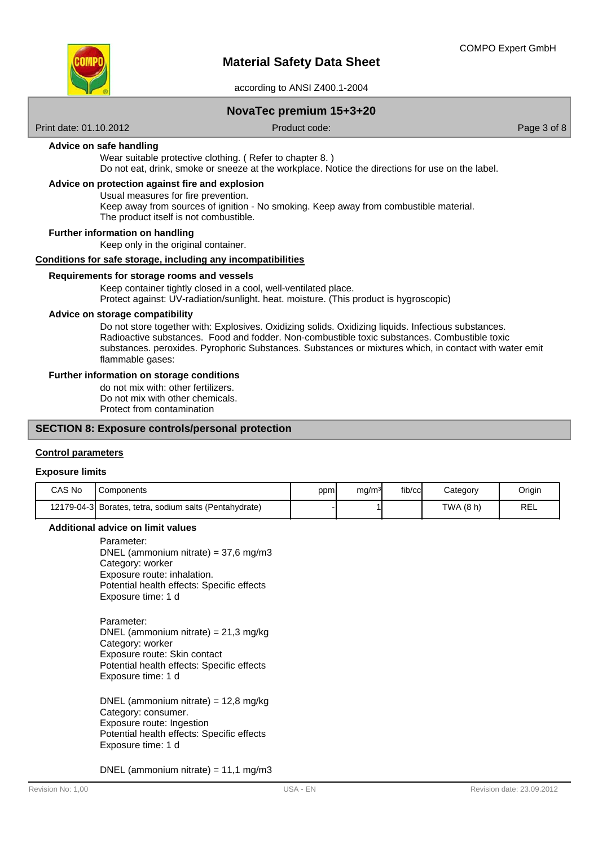

## **NovaTec premium 15+3+20**

Print date: 01.10.2012 Product code: Page 3 of 8

### **Advice on safe handling**

Wear suitable protective clothing. ( Refer to chapter 8. )

Do not eat, drink, smoke or sneeze at the workplace. Notice the directions for use on the label.

## **Advice on protection against fire and explosion**

Usual measures for fire prevention.

Keep away from sources of ignition - No smoking. Keep away from combustible material.

The product itself is not combustible.

### **Further information on handling**

Keep only in the original container.

## **Conditions for safe storage, including any incompatibilities**

### **Requirements for storage rooms and vessels**

Keep container tightly closed in a cool, well-ventilated place. Protect against: UV-radiation/sunlight. heat. moisture. (This product is hygroscopic)

### **Advice on storage compatibility**

Do not store together with: Explosives. Oxidizing solids. Oxidizing liquids. Infectious substances. Radioactive substances. Food and fodder. Non-combustible toxic substances. Combustible toxic substances. peroxides. Pyrophoric Substances. Substances or mixtures which, in contact with water emit flammable gases:

#### **Further information on storage conditions**

do not mix with: other fertilizers. Do not mix with other chemicals. Protect from contamination

### **SECTION 8: Exposure controls/personal protection**

### **Control parameters**

#### **Exposure limits**

| CAS No | Components                                             | ppm | ma/m <sup>3</sup> | fib/cc | Category  | Origin |
|--------|--------------------------------------------------------|-----|-------------------|--------|-----------|--------|
|        | 12179-04-3 Borates, tetra, sodium salts (Pentahydrate) |     |                   |        | TWA (8 h) | REL    |

### **Additional advice on limit values**

Parameter: DNEL (ammonium nitrate) = 37,6 mg/m3 Category: worker Exposure route: inhalation. Potential health effects: Specific effects Exposure time: 1 d

Parameter: DNEL (ammonium nitrate) = 21,3 mg/kg Category: worker Exposure route: Skin contact Potential health effects: Specific effects Exposure time: 1 d

DNEL (ammonium nitrate) = 12,8 mg/kg Category: consumer. Exposure route: Ingestion Potential health effects: Specific effects Exposure time: 1 d

DNEL (ammonium nitrate) = 11,1 mg/m3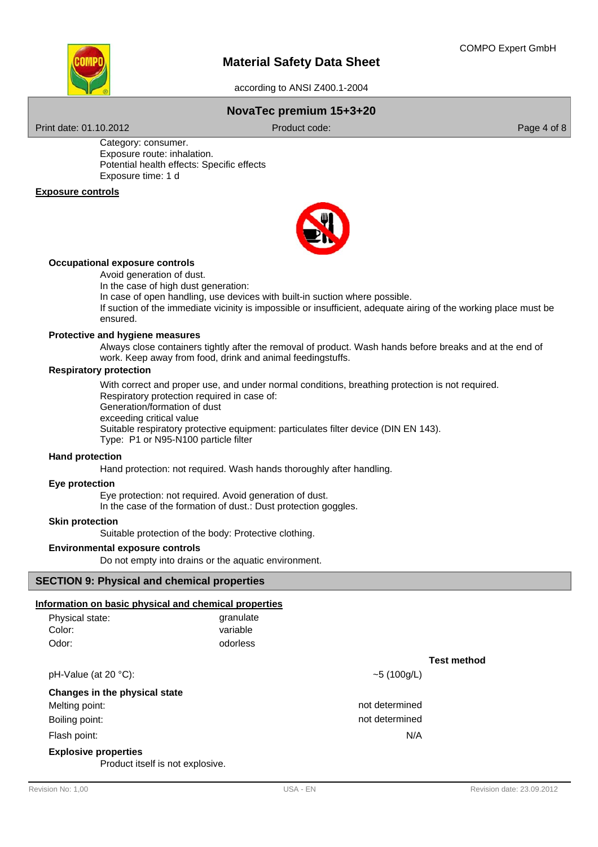

according to ANSI Z400.1-2004

# **NovaTec premium 15+3+20**

Print date: 01.10.2012 **Product code:** Product code: Page 4 of 8

Category: consumer. Exposure route: inhalation. Potential health effects: Specific effects Exposure time: 1 d

## **Exposure controls**



### **Occupational exposure controls**

Avoid generation of dust.

In the case of high dust generation:

In case of open handling, use devices with built-in suction where possible.

If suction of the immediate vicinity is impossible or insufficient, adequate airing of the working place must be ensured.

### **Protective and hygiene measures**

Always close containers tightly after the removal of product. Wash hands before breaks and at the end of work. Keep away from food, drink and animal feedingstuffs.

### **Respiratory protection**

With correct and proper use, and under normal conditions, breathing protection is not required. Respiratory protection required in case of: Generation/formation of dust exceeding critical value Suitable respiratory protective equipment: particulates filter device (DIN EN 143). Type: P1 or N95-N100 particle filter

**Hand protection**

Hand protection: not required. Wash hands thoroughly after handling.

## **Eye protection**

Eye protection: not required. Avoid generation of dust. In the case of the formation of dust.: Dust protection goggles.

#### **Skin protection**

Suitable protection of the body: Protective clothing.

### **Environmental exposure controls**

Do not empty into drains or the aquatic environment.

### **SECTION 9: Physical and chemical properties**

#### **Information on basic physical and chemical properties**

| Physical state: | granulate |
|-----------------|-----------|
| Color:          | variable  |
| Odor:           | odorless  |

 $pH-Value (at 20 °C):$   $\sim$  5 (100g/L)

**Test method**

N/A

not determined not determined

**Changes in the physical state**

Melting point:

Boiling point:

Flash point:

### **Explosive properties**

Product itself is not explosive.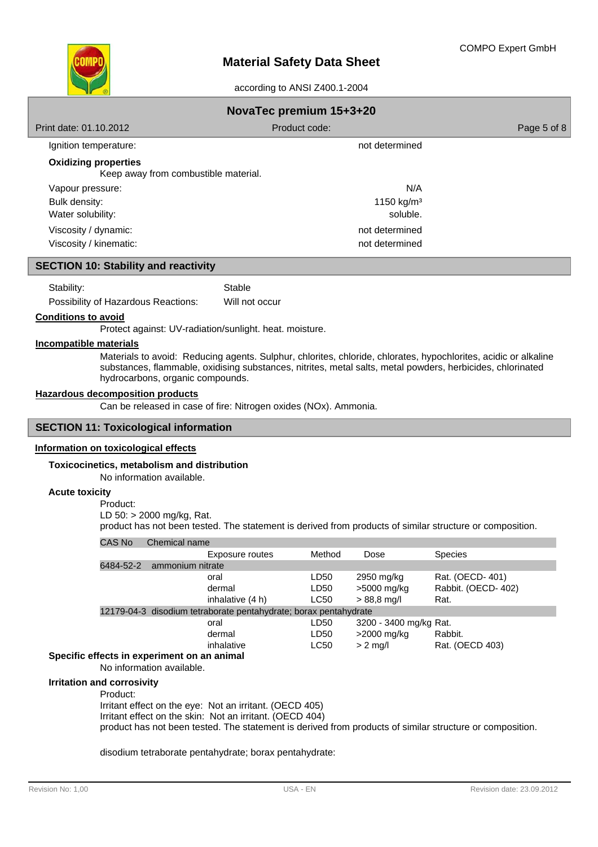

| NovaTec premium 15+3+20                                             |                        |             |  |  |
|---------------------------------------------------------------------|------------------------|-------------|--|--|
| Print date: 01.10.2012                                              | Product code:          | Page 5 of 8 |  |  |
| Ignition temperature:                                               | not determined         |             |  |  |
| <b>Oxidizing properties</b><br>Keep away from combustible material. |                        |             |  |  |
| Vapour pressure:                                                    | N/A                    |             |  |  |
| Bulk density:                                                       | 1150 kg/m <sup>3</sup> |             |  |  |
| Water solubility:                                                   | soluble.               |             |  |  |
| Viscosity / dynamic:                                                | not determined         |             |  |  |
| Viscosity / kinematic:                                              | not determined         |             |  |  |

## **SECTION 10: Stability and reactivity**

Stability: Stable

Possibility of Hazardous Reactions: Will not occur

### **Conditions to avoid**

Protect against: UV-radiation/sunlight. heat. moisture.

## **Incompatible materials**

Materials to avoid: Reducing agents. Sulphur, chlorites, chloride, chlorates, hypochlorites, acidic or alkaline substances, flammable, oxidising substances, nitrites, metal salts, metal powders, herbicides, chlorinated hydrocarbons, organic compounds.

### **Hazardous decomposition products**

Can be released in case of fire: Nitrogen oxides (NOx). Ammonia.

### **SECTION 11: Toxicological information**

#### **Information on toxicological effects**

#### **Toxicocinetics, metabolism and distribution**

No information available.

### **Acute toxicity**

Product: LD 50: > 2000 mg/kg, Rat.

product has not been tested. The statement is derived from products of similar structure or composition.

| <b>CAS No</b>                                 | Chemical name             |                                                                  |             |                        |                    |
|-----------------------------------------------|---------------------------|------------------------------------------------------------------|-------------|------------------------|--------------------|
|                                               |                           | Exposure routes                                                  | Method      | Dose                   | <b>Species</b>     |
| 6484-52-2                                     | ammonium nitrate          |                                                                  |             |                        |                    |
|                                               |                           | oral                                                             | LD50        | 2950 mg/kg             | Rat. (OECD-401)    |
|                                               |                           | dermal                                                           | LD50        | >5000 mg/kg            | Rabbit. (OECD-402) |
|                                               |                           | inhalative (4 h)                                                 | <b>LC50</b> | $> 88.8$ mg/l          | Rat.               |
|                                               |                           | 12179-04-3 disodium tetraborate pentahydrate; borax pentahydrate |             |                        |                    |
|                                               |                           | oral                                                             | LD50        | 3200 - 3400 mg/kg Rat. |                    |
|                                               |                           | dermal                                                           | LD50        | >2000 mg/kg            | Rabbit.            |
|                                               |                           | inhalative                                                       | LC50        | $> 2$ mg/l             | Rat. (OECD 403)    |
| Specific effects in experiment on an animal   |                           |                                                                  |             |                        |                    |
|                                               | No information available. |                                                                  |             |                        |                    |
| <b>Irritation and corrosivity</b><br>Product: |                           |                                                                  |             |                        |                    |

Irritant effect on the eye: Not an irritant. (OECD 405) Irritant effect on the skin: Not an irritant. (OECD 404) product has not been tested. The statement is derived from products of similar structure or composition.

disodium tetraborate pentahydrate; borax pentahydrate: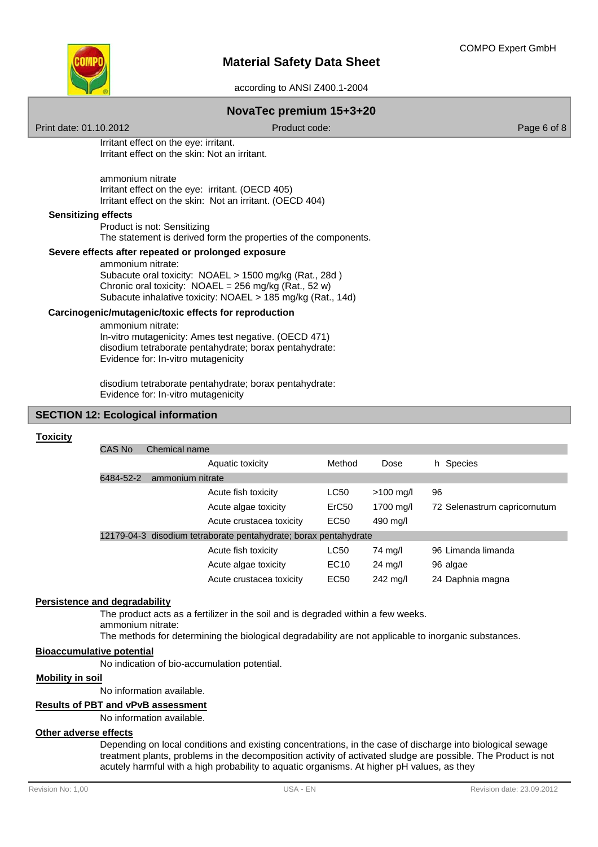

according to ANSI Z400.1-2004

## **NovaTec premium 15+3+20**

Print date: 01.10.2012 **Product code:** Product code: Product code: Page 6 of 8

Irritant effect on the eye: irritant. Irritant effect on the skin: Not an irritant.

ammonium nitrate Irritant effect on the eye: irritant. (OECD 405) Irritant effect on the skin: Not an irritant. (OECD 404)

### **Sensitizing effects**

Product is not: Sensitizing The statement is derived form the properties of the components.

### **Severe effects after repeated or prolonged exposure**

ammonium nitrate: Subacute oral toxicity: NOAEL > 1500 mg/kg (Rat., 28d ) Chronic oral toxicity:  $NOAEL = 256$  mg/kg (Rat., 52 w) Subacute inhalative toxicity: NOAEL > 185 mg/kg (Rat., 14d)

### **Carcinogenic/mutagenic/toxic effects for reproduction**

ammonium nitrate: In-vitro mutagenicity: Ames test negative. (OECD 471) disodium tetraborate pentahydrate; borax pentahydrate: Evidence for: In-vitro mutagenicity

disodium tetraborate pentahydrate; borax pentahydrate: Evidence for: In-vitro mutagenicity

#### **SECTION 12: Ecological information**

#### **Toxicity**

| CAS No<br>Chemical name |                                                                  |                   |                   |                              |
|-------------------------|------------------------------------------------------------------|-------------------|-------------------|------------------------------|
|                         | Aquatic toxicity                                                 | Method            | Dose              | h Species                    |
| 6484-52-2               | ammonium nitrate                                                 |                   |                   |                              |
|                         | Acute fish toxicity                                              | LC50              | $>100$ mg/l       | 96                           |
|                         | Acute algae toxicity                                             | ErC <sub>50</sub> | 1700 mg/l         | 72 Selenastrum capricornutum |
|                         | Acute crustacea toxicity                                         | EC <sub>50</sub>  | 490 mg/l          |                              |
|                         | 12179-04-3 disodium tetraborate pentahydrate; borax pentahydrate |                   |                   |                              |
|                         | Acute fish toxicity                                              | LC50              | 74 mg/l           | 96 Limanda limanda           |
|                         | Acute algae toxicity                                             | EC <sub>10</sub>  | $24 \text{ mg/l}$ | 96 algae                     |
|                         | Acute crustacea toxicity                                         | EC50              | 242 mg/l          | 24 Daphnia magna             |
|                         |                                                                  |                   |                   |                              |

## **Persistence and degradability**

The product acts as a fertilizer in the soil and is degraded within a few weeks. ammonium nitrate:

The methods for determining the biological degradability are not applicable to inorganic substances.

### **Bioaccumulative potential**

No indication of bio-accumulation potential.

### **Mobility in soil**

No information available.

#### **Results of PBT and vPvB assessment**

No information available.

### **Other adverse effects**

Depending on local conditions and existing concentrations, in the case of discharge into biological sewage treatment plants, problems in the decomposition activity of activated sludge are possible. The Product is not acutely harmful with a high probability to aquatic organisms. At higher pH values, as they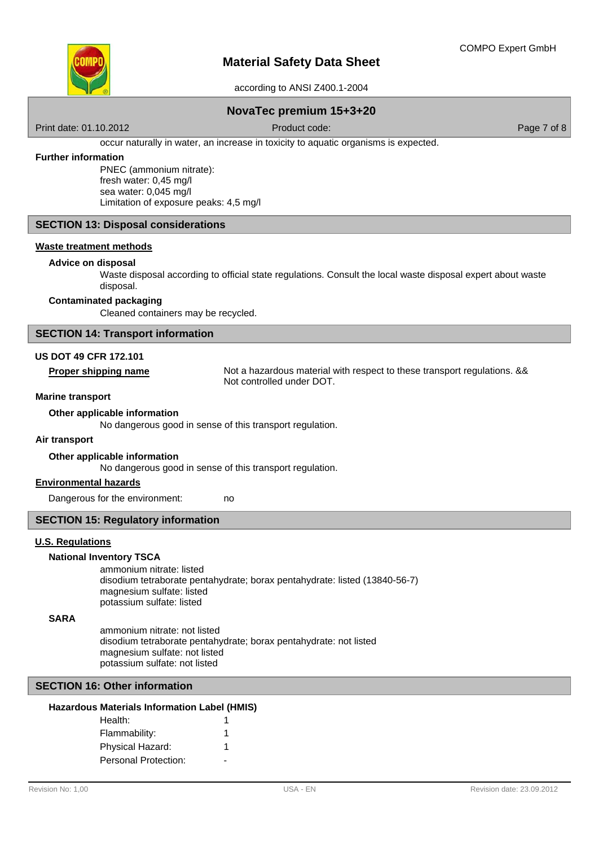

according to ANSI Z400.1-2004

## **NovaTec premium 15+3+20**

Print date: 01.10.2012 **Product code:** Product code: Page 7 of 8

occur naturally in water, an increase in toxicity to aquatic organisms is expected.

### **Further information**

PNEC (ammonium nitrate): fresh water: 0,45 mg/l sea water: 0,045 mg/l Limitation of exposure peaks: 4,5 mg/l

## **SECTION 13: Disposal considerations**

### **Waste treatment methods**

### **Advice on disposal**

Waste disposal according to official state regulations. Consult the local waste disposal expert about waste disposal.

### **Contaminated packaging**

Cleaned containers may be recycled.

### **SECTION 14: Transport information**

## **US DOT 49 CFR 172.101**

**Proper shipping name** Not a hazardous material with respect to these transport regulations. && Not controlled under DOT.

#### **Marine transport**

### **Other applicable information**

No dangerous good in sense of this transport regulation.

### **Air transport**

**Other applicable information**

No dangerous good in sense of this transport regulation.

no

### **Environmental hazards**

Dangerous for the environment:

### **SECTION 15: Regulatory information**

#### **U.S. Regulations**

### **National Inventory TSCA**

ammonium nitrate: listed disodium tetraborate pentahydrate; borax pentahydrate: listed (13840-56-7) magnesium sulfate: listed potassium sulfate: listed

#### **SARA**

ammonium nitrate: not listed disodium tetraborate pentahydrate; borax pentahydrate: not listed magnesium sulfate: not listed potassium sulfate: not listed

### **SECTION 16: Other information**

| Health:              |  |
|----------------------|--|
| Flammability:        |  |
| Physical Hazard:     |  |
| Personal Protection: |  |